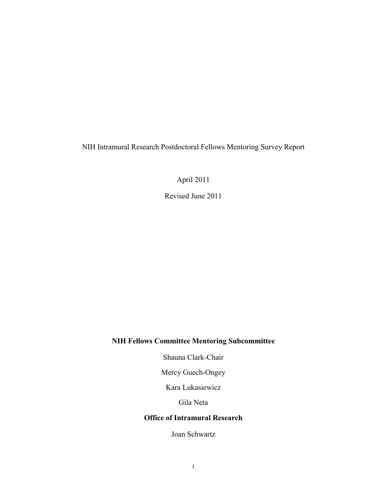NIH Intramural Research Postdoctoral Fellows Mentoring Survey Report

April 2011

Revised June 2011

## **NIH Fellows Committee Mentoring Subcommittee**

Shauna Clark-Chair

Mercy Guech-Ongey

Kara Lukasiewicz

Gila Neta

### **Office of Intramural Research**

Joan Schwartz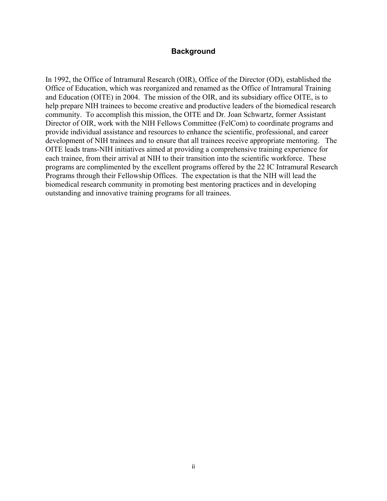### **Background**

In 1992, the Office of Intramural Research (OIR), Office of the Director (OD), established the Office of Education, which was reorganized and renamed as the Office of Intramural Training and Education (OITE) in 2004. The mission of the OIR, and its subsidiary office OITE, is to help prepare NIH trainees to become creative and productive leaders of the biomedical research community. To accomplish this mission, the OITE and Dr. Joan Schwartz, former Assistant Director of OIR, work with the NIH Fellows Committee (FelCom) to coordinate programs and provide individual assistance and resources to enhance the scientific, professional, and career development of NIH trainees and to ensure that all trainees receive appropriate mentoring. The OITE leads trans-NIH initiatives aimed at providing a comprehensive training experience for each trainee, from their arrival at NIH to their transition into the scientific workforce. These programs are complimented by the excellent programs offered by the 22 IC Intramural Research Programs through their Fellowship Offices. The expectation is that the NIH will lead the biomedical research community in promoting best mentoring practices and in developing outstanding and innovative training programs for all trainees.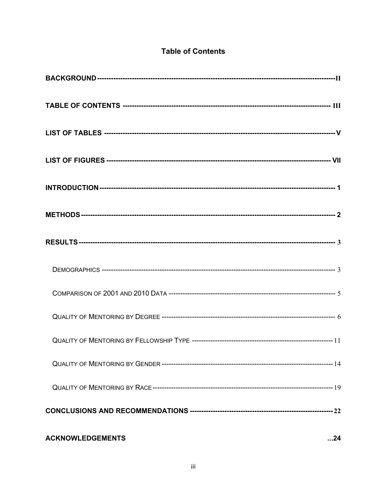| <b>ACKNOWLEDGEMENTS</b> | $\dots$ 24 |
|-------------------------|------------|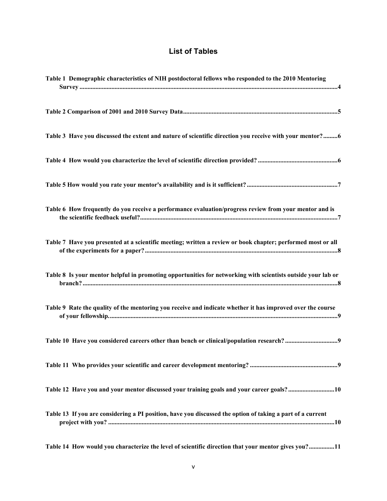## **List of Tables**

<span id="page-4-0"></span>

| Table 1 Demographic characteristics of NIH postdoctoral fellows who responded to the 2010 Mentoring          |  |
|--------------------------------------------------------------------------------------------------------------|--|
|                                                                                                              |  |
| Table 3 Have you discussed the extent and nature of scientific direction you receive with your mentor?6      |  |
|                                                                                                              |  |
|                                                                                                              |  |
| Table 6 How frequently do you receive a performance evaluation/progress review from your mentor and is       |  |
| Table 7 Have you presented at a scientific meeting; written a review or book chapter; performed most or all  |  |
| Table 8 Is your mentor helpful in promoting opportunities for networking with scientists outside your lab or |  |
| Table 9 Rate the quality of the mentoring you receive and indicate whether it has improved over the course   |  |
|                                                                                                              |  |
|                                                                                                              |  |
| Table 12 Have you and your mentor discussed your training goals and your career goals?10                     |  |
| Table 13 If you are considering a PI position, have you discussed the option of taking a part of a current   |  |
| Table 14 How would you characterize the level of scientific direction that your mentor gives you?11          |  |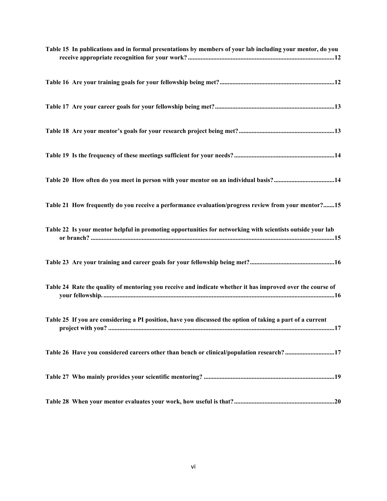| Table 15 In publications and in formal presentations by members of your lab including your mentor, do you         |
|-------------------------------------------------------------------------------------------------------------------|
|                                                                                                                   |
|                                                                                                                   |
|                                                                                                                   |
|                                                                                                                   |
|                                                                                                                   |
| Table 21 How frequently do you receive a performance evaluation/progress review from your mentor?15               |
| Table 22 Is your mentor helpful in promoting opportunities for networking with scientists outside your lab        |
|                                                                                                                   |
| Table 24 Rate the quality of mentoring you receive and indicate whether it has improved over the course of        |
| Table 25 If you are considering a PI position, have you discussed the option of taking a part of a current<br>.17 |
| Table 26 Have you considered careers other than bench or clinical/population research? 17                         |
|                                                                                                                   |
|                                                                                                                   |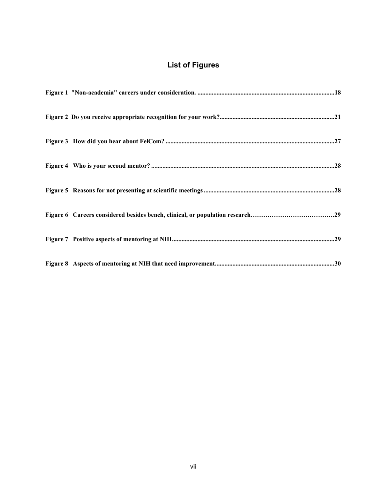# **List of Figures**

<span id="page-6-0"></span>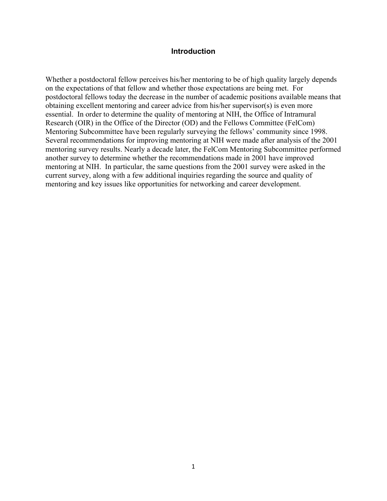### **Introduction**

<span id="page-7-0"></span>Whether a postdoctoral fellow perceives his/her mentoring to be of high quality largely depends on the expectations of that fellow and whether those expectations are being met. For postdoctoral fellows today the decrease in the number of academic positions available means that obtaining excellent mentoring and career advice from his/her supervisor(s) is even more essential. In order to determine the quality of mentoring at NIH, the Office of Intramural Research (OIR) in the Office of the Director (OD) and the Fellows Committee (FelCom) Mentoring Subcommittee have been regularly surveying the fellows' community since 1998. Several recommendations for improving mentoring at NIH were made after analysis of the 2001 mentoring survey results. Nearly a decade later, the FelCom Mentoring Subcommittee performed another survey to determine whether the recommendations made in 2001 have improved mentoring at NIH. In particular, the same questions from the 2001 survey were asked in the current survey, along with a few additional inquiries regarding the source and quality of mentoring and key issues like opportunities for networking and career development.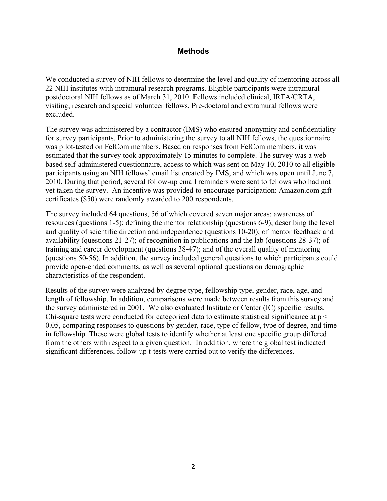### **Methods**

<span id="page-8-0"></span>We conducted a survey of NIH fellows to determine the level and quality of mentoring across all 22 NIH institutes with intramural research programs. Eligible participants were intramural postdoctoral NIH fellows as of March 31, 2010. Fellows included clinical, IRTA/CRTA, visiting, research and special volunteer fellows. Pre-doctoral and extramural fellows were excluded.

The survey was administered by a contractor (IMS) who ensured anonymity and confidentiality for survey participants. Prior to administering the survey to all NIH fellows, the questionnaire was pilot-tested on FelCom members. Based on responses from FelCom members, it was estimated that the survey took approximately 15 minutes to complete. The survey was a webbased self-administered questionnaire, access to which was sent on May 10, 2010 to all eligible participants using an NIH fellows' email list created by IMS, and which was open until June 7, 2010. During that period, several follow-up email reminders were sent to fellows who had not yet taken the survey. An incentive was provided to encourage participation: Amazon.com gift certificates (\$50) were randomly awarded to 200 respondents.

The survey included 64 questions, 56 of which covered seven major areas: awareness of resources (questions 1-5); defining the mentor relationship (questions 6-9); describing the level and quality of scientific direction and independence (questions 10-20); of mentor feedback and availability (questions 21-27); of recognition in publications and the lab (questions 28-37); of training and career development (questions 38-47); and of the overall quality of mentoring (questions 50-56). In addition, the survey included general questions to which participants could provide open-ended comments, as well as several optional questions on demographic characteristics of the respondent.

Results of the survey were analyzed by degree type, fellowship type, gender, race, age, and length of fellowship. In addition, comparisons were made between results from this survey and the survey administered in 2001. We also evaluated Institute or Center (IC) specific results. Chi-square tests were conducted for categorical data to estimate statistical significance at p < 0.05, comparing responses to questions by gender, race, type of fellow, type of degree, and time in fellowship. These were global tests to identify whether at least one specific group differed from the others with respect to a given question. In addition, where the global test indicated significant differences, follow-up t-tests were carried out to verify the differences.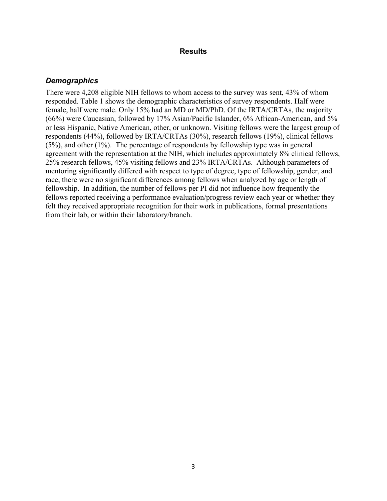#### **Results**

### *Demographics*

There were 4,208 eligible NIH fellows to whom access to the survey was sent, 43% of whom responded. Table 1 shows the demographic characteristics of survey respondents. Half were female, half were male. Only 15% had an MD or MD/PhD. Of the IRTA/CRTAs, the majority (66%) were Caucasian, followed by 17% Asian/Pacific Islander, 6% African-American, and 5% or less Hispanic, Native American, other, or unknown. Visiting fellows were the largest group of respondents (44%), followed by IRTA/CRTAs (30%), research fellows (19%), clinical fellows (5%), and other (1%). The percentage of respondents by fellowship type was in general agreement with the representation at the NIH, which includes approximately 8% clinical fellows, 25% research fellows, 45% visiting fellows and 23% IRTA/CRTAs. Although parameters of mentoring significantly differed with respect to type of degree, type of fellowship, gender, and race, there were no significant differences among fellows when analyzed by age or length of fellowship. In addition, the number of fellows per PI did not influence how frequently the fellows reported receiving a performance evaluation/progress review each year or whether they felt they received appropriate recognition for their work in publications, formal presentations from their lab, or within their laboratory/branch.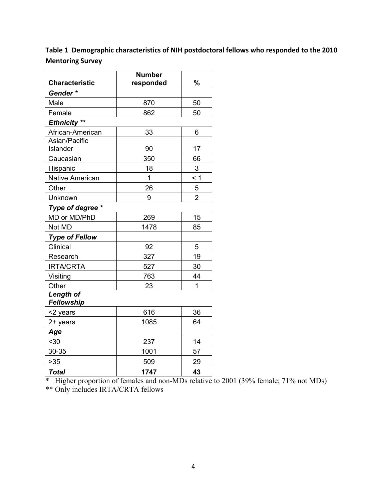<span id="page-10-0"></span>**Table 1Demographic characteristics of NIH postdoctoral fellows who responded to the 2010 Mentoring Survey**

| <b>Characteristic</b>          | <b>Number</b><br>responded | %              |
|--------------------------------|----------------------------|----------------|
| Gender*                        |                            |                |
| Male                           | 870                        | 50             |
| Female                         | 862                        | 50             |
| Ethnicity **                   |                            |                |
| African-American               | 33                         | 6              |
| Asian/Pacific                  |                            |                |
| Islander                       | 90                         | 17             |
| Caucasian                      | 350                        | 66             |
| Hispanic                       | 18                         | 3              |
| <b>Native American</b>         | 1                          | < 1            |
| Other                          | 26                         | 5              |
| Unknown                        | 9                          | $\overline{2}$ |
| Type of degree *               |                            |                |
| MD or MD/PhD                   | 269                        | 15             |
| Not MD                         | 1478                       | 85             |
| <b>Type of Fellow</b>          |                            |                |
| Clinical                       | 92                         | 5              |
| Research                       | 327                        | 19             |
| <b>IRTA/CRTA</b>               | 527                        | 30             |
| Visiting                       | 763                        | 44             |
| Other                          | 23                         | 1              |
| <b>Length of</b><br>Fellowship |                            |                |
| <2 years                       | 616                        | 36             |
| 2+ years                       | 1085                       | 64             |
| Age                            |                            |                |
| $30$                           | 237                        | 14             |
| 30-35                          | 1001                       | 57             |
| $>35$                          | 509                        | 29             |
| <b>Total</b>                   | 1747                       | 43             |

\* Higher proportion of females and non-MDs relative to 2001 (39% female; 71% not MDs)

\*\* Only includes IRTA/CRTA fellows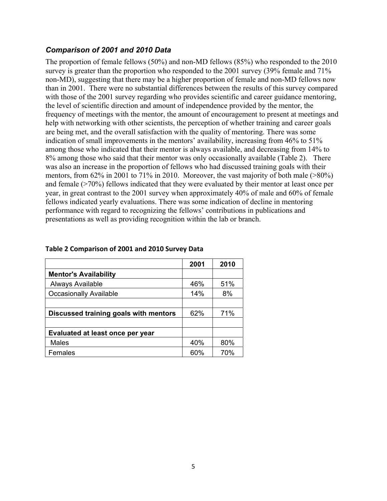### <span id="page-11-0"></span>*Comparison of 2001 and 2010 Data*

The proportion of female fellows (50%) and non-MD fellows (85%) who responded to the 2010 survey is greater than the proportion who responded to the 2001 survey (39% female and 71% non-MD), suggesting that there may be a higher proportion of female and non-MD fellows now than in 2001. There were no substantial differences between the results of this survey compared with those of the 2001 survey regarding who provides scientific and career guidance mentoring, the level of scientific direction and amount of independence provided by the mentor, the frequency of meetings with the mentor, the amount of encouragement to present at meetings and help with networking with other scientists, the perception of whether training and career goals are being met, and the overall satisfaction with the quality of mentoring. There was some indication of small improvements in the mentors' availability, increasing from 46% to 51% among those who indicated that their mentor is always available, and decreasing from 14% to 8% among those who said that their mentor was only occasionally available (Table 2). There was also an increase in the proportion of fellows who had discussed training goals with their mentors, from 62% in 2001 to 71% in 2010. Moreover, the vast majority of both male (>80%) and female (>70%) fellows indicated that they were evaluated by their mentor at least once per year, in great contrast to the 2001 survey when approximately 40% of male and 60% of female fellows indicated yearly evaluations. There was some indication of decline in mentoring performance with regard to recognizing the fellows' contributions in publications and presentations as well as providing recognition within the lab or branch.

|                                       | 2001 | 2010 |
|---------------------------------------|------|------|
| <b>Mentor's Availability</b>          |      |      |
| Always Available                      | 46%  | 51%  |
| <b>Occasionally Available</b>         | 14%  | 8%   |
|                                       |      |      |
| Discussed training goals with mentors | 62%  | 71%  |
|                                       |      |      |
| Evaluated at least once per year      |      |      |
| <b>Males</b>                          | 40%  | 80%  |
| Females                               | 60%  | 70%  |

### **Table 2 Comparison of 2001 and 2010 Survey Data**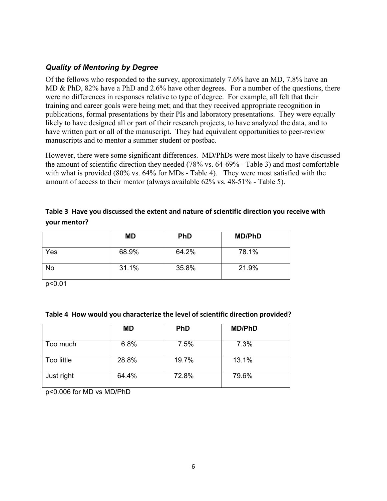## <span id="page-12-0"></span>*Quality of Mentoring by Degree*

Of the fellows who responded to the survey, approximately 7.6% have an MD, 7.8% have an MD & PhD, 82% have a PhD and 2.6% have other degrees. For a number of the questions, there were no differences in responses relative to type of degree. For example, all felt that their training and career goals were being met; and that they received appropriate recognition in publications, formal presentations by their PIs and laboratory presentations. They were equally likely to have designed all or part of their research projects, to have analyzed the data, and to have written part or all of the manuscript. They had equivalent opportunities to peer-review manuscripts and to mentor a summer student or postbac.

However, there were some significant differences. MD/PhDs were most likely to have discussed the amount of scientific direction they needed (78% vs. 64-69% - Table 3) and most comfortable with what is provided (80% vs. 64% for MDs - Table 4). They were most satisfied with the amount of access to their mentor (always available 62% vs. 48-51% - Table 5).

### **Table 3Have you discussed the extent and nature of scientific direction you receive with your mentor?**

|           | <b>MD</b> | <b>PhD</b> | <b>MD/PhD</b> |
|-----------|-----------|------------|---------------|
| Yes       | 68.9%     | 64.2%      | 78.1%         |
| <b>No</b> | 31.1%     | 35.8%      | 21.9%         |

p<0.01

### **Table 4How would you characterize the level of scientific direction provided?**

|            | MD    | <b>PhD</b> | <b>MD/PhD</b> |
|------------|-------|------------|---------------|
| Too much   | 6.8%  | 7.5%       | 7.3%          |
| Too little | 28.8% | 19.7%      | 13.1%         |
| Just right | 64.4% | 72.8%      | 79.6%         |

p<0.006 for MD vs MD/PhD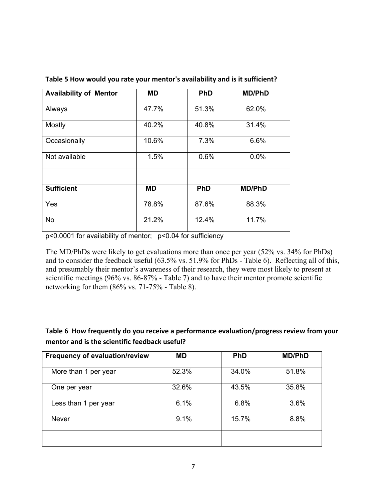| <b>Availability of Mentor</b> | <b>MD</b> | <b>PhD</b> | <b>MD/PhD</b> |
|-------------------------------|-----------|------------|---------------|
| Always                        | 47.7%     | 51.3%      | 62.0%         |
| Mostly                        | 40.2%     | 40.8%      | 31.4%         |
| Occasionally                  | 10.6%     | 7.3%       | 6.6%          |
| Not available                 | 1.5%      | 0.6%       | 0.0%          |
|                               |           |            |               |
| <b>Sufficient</b>             | <b>MD</b> | <b>PhD</b> | <b>MD/PhD</b> |
| Yes                           | 78.8%     | 87.6%      | 88.3%         |
| <b>No</b>                     | 21.2%     | 12.4%      | 11.7%         |

### <span id="page-13-0"></span>**Table 5 How would you rate your mentor's availability and is it sufficient?**

p<0.0001 for availability of mentor; p<0.04 for sufficiency

The MD/PhDs were likely to get evaluations more than once per year (52% vs. 34% for PhDs) and to consider the feedback useful (63.5% vs. 51.9% for PhDs - Table 6). Reflecting all of this, and presumably their mentor's awareness of their research, they were most likely to present at scientific meetings (96% vs. 86-87% - Table 7) and to have their mentor promote scientific networking for them (86% vs. 71-75% - Table 8).

## **Table 6How frequently do you receive a performance evaluation/progress review from your mentor and is the scientific feedback useful?**

| <b>Frequency of evaluation/review</b> | <b>MD</b> | <b>PhD</b> | <b>MD/PhD</b> |
|---------------------------------------|-----------|------------|---------------|
| More than 1 per year                  | 52.3%     | 34.0%      | 51.8%         |
| One per year                          | 32.6%     | 43.5%      | 35.8%         |
| Less than 1 per year                  | 6.1%      | 6.8%       | 3.6%          |
| Never                                 | 9.1%      | 15.7%      | 8.8%          |
|                                       |           |            |               |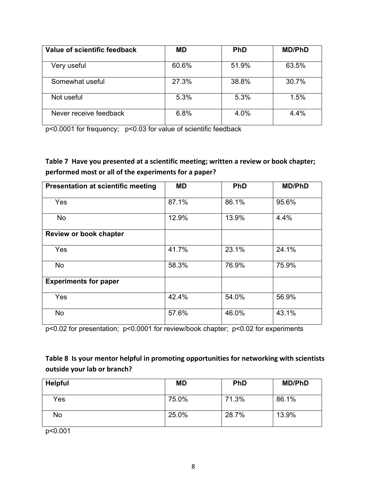<span id="page-14-0"></span>

| Value of scientific feedback | <b>MD</b> | <b>PhD</b> | <b>MD/PhD</b> |
|------------------------------|-----------|------------|---------------|
| Very useful                  | 60.6%     | 51.9%      | 63.5%         |
| Somewhat useful              | 27.3%     | 38.8%      | 30.7%         |
| Not useful                   | 5.3%      | 5.3%       | 1.5%          |
| Never receive feedback       | 6.8%      | 4.0%       | 4.4%          |

p<0.0001 for frequency; p<0.03 for value of scientific feedback

**Table 7Have you presented at a scientific meeting; written a review or book chapter; performed most or all of the experiments for a paper?**

| <b>Presentation at scientific meeting</b> | <b>MD</b> | <b>PhD</b> | <b>MD/PhD</b> |
|-------------------------------------------|-----------|------------|---------------|
|                                           |           |            |               |
| Yes                                       | 87.1%     | 86.1%      | 95.6%         |
| <b>No</b>                                 | 12.9%     | 13.9%      | 4.4%          |
| <b>Review or book chapter</b>             |           |            |               |
|                                           |           |            |               |
| Yes                                       | 41.7%     | 23.1%      | 24.1%         |
| <b>No</b>                                 | 58.3%     | 76.9%      | 75.9%         |
| <b>Experiments for paper</b>              |           |            |               |
| Yes                                       | 42.4%     | 54.0%      | 56.9%         |
| No                                        | 57.6%     | 46.0%      | 43.1%         |

p<0.02 for presentation; p<0.0001 for review/book chapter; p<0.02 for experiments

## **Table 8Is your mentor helpful in promoting opportunities for networking with scientists outside your lab or branch?**

| Helpful                           | <b>MD</b> | <b>PhD</b> | <b>MD/PhD</b> |
|-----------------------------------|-----------|------------|---------------|
| Yes                               | 75.0%     | 71.3%      | 86.1%         |
| No<br>$\sim$ $\sim$ $\sim$ $\sim$ | 25.0%     | 28.7%      | 13.9%         |

p<0.001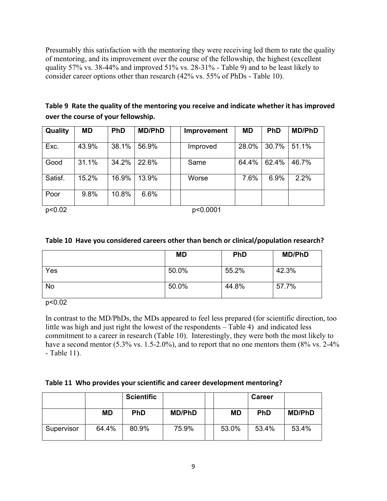<span id="page-15-0"></span>Presumably this satisfaction with the mentoring they were receiving led them to rate the quality of mentoring, and its improvement over the course of the fellowship, the highest (excellent quality 57% vs. 38-44% and improved 51% vs. 28-31% - Table 9) and to be least likely to consider career options other than research (42% vs. 55% of PhDs - Table 10).

| Table 9 Rate the quality of the mentoring you receive and indicate whether it has improved |  |
|--------------------------------------------------------------------------------------------|--|
| over the course of your fellowship.                                                        |  |

| Quality | <b>MD</b> | <b>PhD</b> | <b>MD/PhD</b> | <b>Improvement</b> | <b>MD</b> | <b>PhD</b> | <b>MD/PhD</b> |
|---------|-----------|------------|---------------|--------------------|-----------|------------|---------------|
| Exc.    | 43.9%     | 38.1%      | 56.9%         | Improved           | 28.0%     | 30.7%      | 51.1%         |
| Good    | 31.1%     | 34.2%      | 22.6%         | Same               | 64.4%     | 62.4%      | 46.7%         |
| Satisf. | 15.2%     | 16.9%      | 13.9%         | Worse              | 7.6%      | 6.9%       | 2.2%          |
| Poor    | 9.8%      | 10.8%      | 6.6%          |                    |           |            |               |

p<0.02 p<0.0001

### **Table 10Have you considered careers other than bench or clinical/population research?**

|           | <b>MD</b> | <b>PhD</b> | <b>MD/PhD</b> |
|-----------|-----------|------------|---------------|
| Yes       | 50.0%     | 55.2%      | 42.3%         |
| <b>No</b> | 50.0%     | 44.8%      | 57.7%         |

p<0.02

In contrast to the MD/PhDs, the MDs appeared to feel less prepared (for scientific direction, too little was high and just right the lowest of the respondents – Table 4) and indicated less commitment to a career in research (Table 10). Interestingly, they were both the most likely to have a second mentor (5.3% vs. 1.5-2.0%), and to report that no one mentors them (8% vs. 2-4%) - Table 11).

### **Table 11Who provides your scientific and career development mentoring?**

|            |           | <b>Scientific</b> |               |           | <b>Career</b> |               |
|------------|-----------|-------------------|---------------|-----------|---------------|---------------|
|            | <b>MD</b> | <b>PhD</b>        | <b>MD/PhD</b> | <b>MD</b> | <b>PhD</b>    | <b>MD/PhD</b> |
| Supervisor | 64.4%     | 80.9%             | 75.9%         | 53.0%     | 53.4%         | 53.4%         |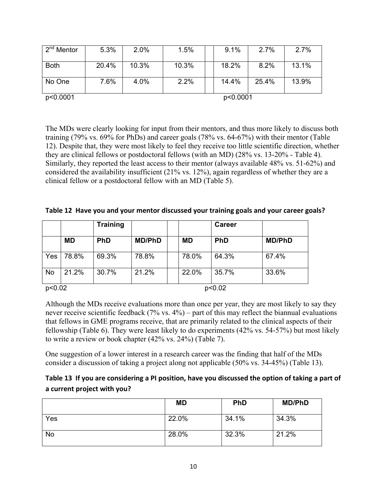<span id="page-16-0"></span>

| $\sqrt{2^{nd}}$ Mentor | 5.3%  | 2.0%  | 1.5%  | 9.1%     | 2.7%  | 2.7%  |
|------------------------|-------|-------|-------|----------|-------|-------|
| <b>Both</b>            | 20.4% | 10.3% | 10.3% | 18.2%    | 8.2%  | 13.1% |
| No One                 | 7.6%  | 4.0%  | 2.2%  | 14.4%    | 25.4% | 13.9% |
| p<0.0001               |       |       |       | p<0.0001 |       |       |

The MDs were clearly looking for input from their mentors, and thus more likely to discuss both training (79% vs. 69% for PhDs) and career goals (78% vs. 64-67%) with their mentor (Table 12). Despite that, they were most likely to feel they receive too little scientific direction, whether they are clinical fellows or postdoctoral fellows (with an MD) (28% vs. 13-20% - Table 4). Similarly, they reported the least access to their mentor (always available 48% vs. 51-62%) and considered the availability insufficient (21% vs. 12%), again regardless of whether they are a clinical fellow or a postdoctoral fellow with an MD (Table 5).

|  |  |  | Table 12 Have you and your mentor discussed your training goals and your career goals? |
|--|--|--|----------------------------------------------------------------------------------------|
|--|--|--|----------------------------------------------------------------------------------------|

|           |           | <b>Training</b> |               |           | <b>Career</b> |               |
|-----------|-----------|-----------------|---------------|-----------|---------------|---------------|
|           | <b>MD</b> | <b>PhD</b>      | <b>MD/PhD</b> | <b>MD</b> | <b>PhD</b>    | <b>MD/PhD</b> |
| Yes       | 78.8%     | 69.3%           | 78.8%         | 78.0%     | 64.3%         | 67.4%         |
| <b>No</b> | 21.2%     | 30.7%           | 21.2%         | 22.0%     | 35.7%         | 33.6%         |
| p<0.02    |           |                 |               |           | p<0.02        |               |

Although the MDs receive evaluations more than once per year, they are most likely to say they never receive scientific feedback (7% vs. 4%) – part of this may reflect the biannual evaluations that fellows in GME programs receive, that are primarily related to the clinical aspects of their fellowship (Table 6). They were least likely to do experiments (42% vs. 54-57%) but most likely to write a review or book chapter (42% vs. 24%) (Table 7).

One suggestion of a lower interest in a research career was the finding that half of the MDs consider a discussion of taking a project along not applicable (50% vs. 34-45%) (Table 13).

| Table 13 If you are considering a PI position, have you discussed the option of taking a part of |
|--------------------------------------------------------------------------------------------------|
| a current project with you?                                                                      |

|     | <b>MD</b> | <b>PhD</b> | <b>MD/PhD</b> |
|-----|-----------|------------|---------------|
| Yes | 22.0%     | 34.1%      | 34.3%         |
| No  | 28.0%     | 32.3%      | 21.2%         |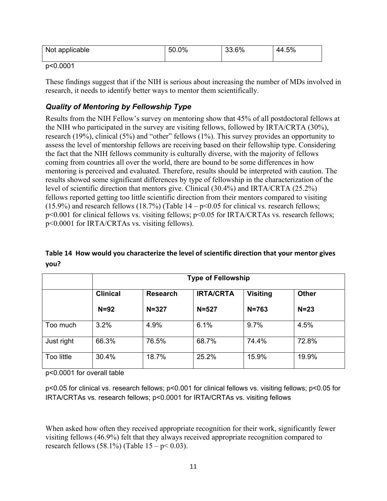<span id="page-17-0"></span>

| Not applicable | 50.0% | 33.6% | 44.5% |
|----------------|-------|-------|-------|
|----------------|-------|-------|-------|

### p<0.0001

These findings suggest that if the NIH is serious about increasing the number of MDs involved in research, it needs to identify better ways to mentor them scientifically.

## *Quality of Mentoring by Fellowship Type*

Results from the NIH Fellow's survey on mentoring show that 45% of all postdoctoral fellows at the NIH who participated in the survey are visiting fellows, followed by IRTA/CRTA (30%), research (19%), clinical (5%) and "other" fellows (1%). This survey provides an opportunity to assess the level of mentorship fellows are receiving based on their fellowship type. Considering the fact that the NIH fellows community is culturally diverse, with the majority of fellows coming from countries all over the world, there are bound to be some differences in how mentoring is perceived and evaluated. Therefore, results should be interpreted with caution. The results showed some significant differences by type of fellowship in the characterization of the level of scientific direction that mentors give. Clinical (30.4%) and IRTA/CRTA (25.2%) fellows reported getting too little scientific direction from their mentors compared to visiting (15.9%) and research fellows (18.7%) (Table  $14 - p \le 0.05$  for clinical vs. research fellows; p<0.001 for clinical fellows vs. visiting fellows; p<0.05 for IRTA/CRTAs vs. research fellows; p<0.0001 for IRTA/CRTAs vs. visiting fellows).

## **Table 14How would you characterize the level of scientific direction that your mentor gives you?**

|            | <b>Type of Fellowship</b> |                 |                  |                 |              |
|------------|---------------------------|-----------------|------------------|-----------------|--------------|
|            | <b>Clinical</b>           | <b>Research</b> | <b>IRTA/CRTA</b> | <b>Visiting</b> | <b>Other</b> |
|            | $N=92$                    | $N = 327$       | $N = 527$        | $N = 763$       | $N = 23$     |
| Too much   | 3.2%                      | 4.9%            | 6.1%             | 9.7%            | 4.5%         |
| Just right | 66.3%                     | 76.5%           | 68.7%            | 74.4%           | 72.8%        |
| Too little | 30.4%                     | 18.7%           | 25.2%            | 15.9%           | 19.9%        |

p<0.0001 for overall table

p<0.05 for clinical vs. research fellows; p<0.001 for clinical fellows vs. visiting fellows; p<0.05 for IRTA/CRTAs vs. research fellows; p<0.0001 for IRTA/CRTAs vs. visiting fellows

When asked how often they received appropriate recognition for their work, significantly fewer visiting fellows (46.9%) felt that they always received appropriate recognition compared to research fellows (58.1%) (Table  $15 - p < 0.03$ ).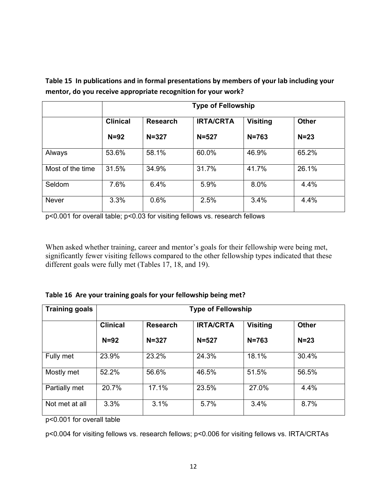|                  | <b>Type of Fellowship</b> |                 |                  |                 |              |
|------------------|---------------------------|-----------------|------------------|-----------------|--------------|
|                  | <b>Clinical</b>           | <b>Research</b> | <b>IRTA/CRTA</b> | <b>Visiting</b> | <b>Other</b> |
|                  | $N=92$                    | $N = 327$       | $N = 527$        | $N = 763$       | $N = 23$     |
| Always           | 53.6%                     | 58.1%           | 60.0%            | 46.9%           | 65.2%        |
| Most of the time | 31.5%                     | 34.9%           | 31.7%            | 41.7%           | 26.1%        |
| Seldom           | 7.6%                      | 6.4%            | 5.9%             | 8.0%            | 4.4%         |
| Never            | 3.3%                      | 0.6%            | 2.5%             | 3.4%            | 4.4%         |

<span id="page-18-0"></span>**Table 15In publications and in formal presentations by members of your lab including your mentor, do you receive appropriate recognition for your work?**

p<0.001 for overall table; p<0.03 for visiting fellows vs. research fellows

When asked whether training, career and mentor's goals for their fellowship were being met, significantly fewer visiting fellows compared to the other fellowship types indicated that these different goals were fully met (Tables 17, 18, and 19).

|  |  |  |  |  |  | Table 16 Are your training goals for your fellowship being met? |
|--|--|--|--|--|--|-----------------------------------------------------------------|
|--|--|--|--|--|--|-----------------------------------------------------------------|

| <b>Training goals</b> | <b>Type of Fellowship</b> |                 |                  |                 |              |
|-----------------------|---------------------------|-----------------|------------------|-----------------|--------------|
|                       | <b>Clinical</b>           | <b>Research</b> | <b>IRTA/CRTA</b> | <b>Visiting</b> | <b>Other</b> |
|                       | $N=92$                    | $N = 327$       | $N = 527$        | $N = 763$       | $N = 23$     |
| Fully met             | 23.9%                     | 23.2%           | 24.3%            | 18.1%           | 30.4%        |
| Mostly met            | 52.2%                     | 56.6%           | 46.5%            | 51.5%           | 56.5%        |
| Partially met         | 20.7%                     | 17.1%           | 23.5%            | 27.0%           | 4.4%         |
| Not met at all        | 3.3%                      | 3.1%            | 5.7%             | 3.4%            | 8.7%         |

p<0.001 for overall table

p<0.004 for visiting fellows vs. research fellows; p<0.006 for visiting fellows vs. IRTA/CRTAs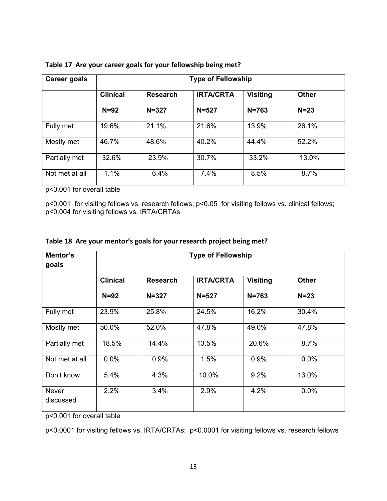| Career goals   | <b>Type of Fellowship</b> |                 |                  |                 |              |
|----------------|---------------------------|-----------------|------------------|-----------------|--------------|
|                | <b>Clinical</b>           | <b>Research</b> | <b>IRTA/CRTA</b> | <b>Visiting</b> | <b>Other</b> |
|                | $N=92$                    | $N = 327$       | $N = 527$        | $N = 763$       | $N = 23$     |
| Fully met      | 19.6%                     | 21.1%           | 21.6%            | 13.9%           | 26.1%        |
| Mostly met     | 46.7%                     | 48.6%           | 40.2%            | 44.4%           | 52.2%        |
| Partially met  | 32.6%                     | 23.9%           | 30.7%            | 33.2%           | 13.0%        |
| Not met at all | 1.1%                      | 6.4%            | 7.4%             | 8.5%            | 8.7%         |

<span id="page-19-0"></span>

|  | Table 17 Are your career goals for your fellowship being met? |  |  |  |
|--|---------------------------------------------------------------|--|--|--|
|--|---------------------------------------------------------------|--|--|--|

p<0.001 for overall table

p<0.001 for visiting fellows vs. research fellows; p<0.05 for visiting fellows vs. clinical fellows; p<0.004 for visiting fellows vs. IRTA/CRTAs

| Mentor's<br>goals         | <b>Type of Fellowship</b> |                 |                  |                 |              |  |
|---------------------------|---------------------------|-----------------|------------------|-----------------|--------------|--|
|                           | <b>Clinical</b>           | <b>Research</b> | <b>IRTA/CRTA</b> | <b>Visiting</b> | <b>Other</b> |  |
|                           | $N=92$                    | $N = 327$       | $N = 527$        | $N = 763$       | $N=23$       |  |
| Fully met                 | 23.9%                     | 25.8%           | 24.5%            | 16.2%           | 30.4%        |  |
| Mostly met                | 50.0%                     | 52.0%           | 47.8%            | 49.0%           | 47.8%        |  |
| Partially met             | 18.5%                     | 14.4%           | 13.5%            | 20.6%           | 8.7%         |  |
| Not met at all            | 0.0%                      | 0.9%            | 1.5%             | 0.9%            | 0.0%         |  |
| Don't know                | 5.4%                      | 4.3%            | 10.0%            | 9.2%            | 13.0%        |  |
| <b>Never</b><br>discussed | 2.2%                      | 3.4%            | 2.9%             | 4.2%            | 0.0%         |  |

### **18 Are your mentor's goals for your research project being met?**

p<0.001 for overall table

p<0.0001 for visiting fellows vs. IRTA/CRTAs; p<0.0001 for visiting fellows vs. research fellows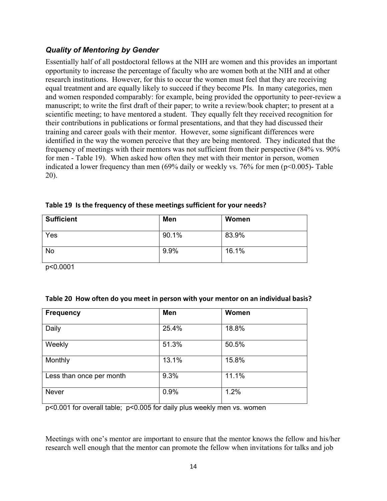## <span id="page-20-0"></span>*Quality of Mentoring by Gender*

Essentially half of all postdoctoral fellows at the NIH are women and this provides an important opportunity to increase the percentage of faculty who are women both at the NIH and at other research institutions. However, for this to occur the women must feel that they are receiving equal treatment and are equally likely to succeed if they become PIs. In many categories, men and women responded comparably: for example, being provided the opportunity to peer-review a manuscript; to write the first draft of their paper; to write a review/book chapter; to present at a scientific meeting; to have mentored a student. They equally felt they received recognition for their contributions in publications or formal presentations, and that they had discussed their training and career goals with their mentor. However, some significant differences were identified in the way the women perceive that they are being mentored. They indicated that the frequency of meetings with their mentors was not sufficient from their perspective (84% vs. 90% for men - Table 19). When asked how often they met with their mentor in person, women indicated a lower frequency than men (69% daily or weekly vs. 76% for men (p<0.005)- Table 20).

| <b>Sufficient</b> | Men   | Women |
|-------------------|-------|-------|
| Yes               | 90.1% | 83.9% |
| <b>No</b>         | 9.9%  | 16.1% |

|  |  | Table 19 Is the frequency of these meetings sufficient for your needs? |  |  |
|--|--|------------------------------------------------------------------------|--|--|
|--|--|------------------------------------------------------------------------|--|--|

p<0.0001

|  |  |  |  | Table 20 How often do you meet in person with your mentor on an individual basis? |
|--|--|--|--|-----------------------------------------------------------------------------------|
|--|--|--|--|-----------------------------------------------------------------------------------|

| <b>Frequency</b>         | Men   | Women |
|--------------------------|-------|-------|
| Daily                    | 25.4% | 18.8% |
| Weekly                   | 51.3% | 50.5% |
| Monthly                  | 13.1% | 15.8% |
| Less than once per month | 9.3%  | 11.1% |
| <b>Never</b>             | 0.9%  | 1.2%  |

p<0.001 for overall table; p<0.005 for daily plus weekly men vs. women

Meetings with one's mentor are important to ensure that the mentor knows the fellow and his/her research well enough that the mentor can promote the fellow when invitations for talks and job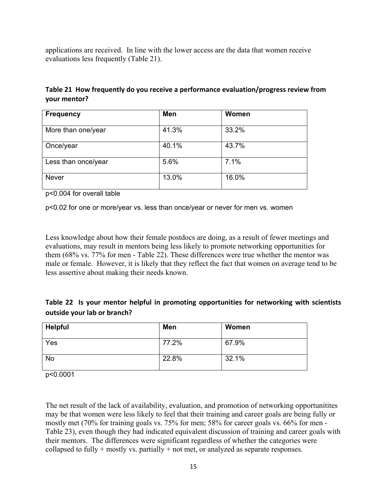<span id="page-21-0"></span>applications are received. In line with the lower access are the data that women receive evaluations less frequently (Table 21).

|              | Table 21 How frequently do you receive a performance evaluation/progress review from |
|--------------|--------------------------------------------------------------------------------------|
| your mentor? |                                                                                      |

| <b>Frequency</b>    | Men   | Women |
|---------------------|-------|-------|
| More than one/year  | 41.3% | 33.2% |
| Once/year           | 40.1% | 43.7% |
| Less than once/year | 5.6%  | 7.1%  |
| <b>Never</b>        | 13.0% | 16.0% |

p<0.004 for overall table

p<0.02 for one or more/year vs. less than once/year or never for men vs. women

Less knowledge about how their female postdocs are doing, as a result of fewer meetings and evaluations, may result in mentors being less likely to promote networking opportunities for them (68% vs. 77% for men - Table 22). These differences were true whether the mentor was male or female. However, it is likely that they reflect the fact that women on average tend to be less assertive about making their needs known.

| Table 22 Is your mentor helpful in promoting opportunities for networking with scientists |  |  |  |  |
|-------------------------------------------------------------------------------------------|--|--|--|--|
| outside your lab or branch?                                                               |  |  |  |  |

| <b>Helpful</b> | Men   | Women |
|----------------|-------|-------|
| Yes            | 77.2% | 67.9% |
| <b>No</b>      | 22.8% | 32.1% |

p<0.0001

The net result of the lack of availability, evaluation, and promotion of networking opportunitites may be that women were less likely to feel that their training and career goals are being fully or mostly met (70% for training goals vs. 75% for men; 58% for career goals vs. 66% for men - Table 23), even though they had indicated equivalent discussion of training and career goals with their mentors. The differences were significant regardless of whether the categories were collapsed to fully + mostly vs. partially + not met, or analyzed as separate responses.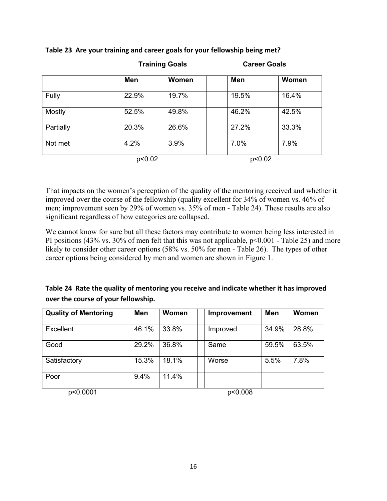|           |        | <b>Training Goals</b> |            | <b>Career Goals</b> |  |
|-----------|--------|-----------------------|------------|---------------------|--|
|           | Men    | Women                 | <b>Men</b> | Women               |  |
| Fully     | 22.9%  | 19.7%                 | 19.5%      | 16.4%               |  |
| Mostly    | 52.5%  | 49.8%                 | 46.2%      | 42.5%               |  |
| Partially | 20.3%  | 26.6%                 | 27.2%      | 33.3%               |  |
| Not met   | 4.2%   | 3.9%                  | 7.0%       | 7.9%                |  |
|           | p<0.02 |                       | p<0.02     |                     |  |

### <span id="page-22-0"></span>**Table 23Are your training and career goals for your fellowship being met?**

That impacts on the women's perception of the quality of the mentoring received and whether it improved over the course of the fellowship (quality excellent for 34% of women vs. 46% of men; improvement seen by 29% of women vs. 35% of men - Table 24). These results are also significant regardless of how categories are collapsed.

We cannot know for sure but all these factors may contribute to women being less interested in PI positions (43% vs. 30% of men felt that this was not applicable,  $p<0.001$  - Table 25) and more likely to consider other career options (58% vs. 50% for men - Table 26). The types of other career options being considered by men and women are shown in Figure 1.

## **Table 24Rate the quality of mentoring you receive and indicate whether it has improved over the course of your fellowship.**

| <b>Quality of Mentoring</b> | Men   | <b>Women</b> | <b>Improvement</b> | <b>Men</b> | Women |
|-----------------------------|-------|--------------|--------------------|------------|-------|
| <b>Excellent</b>            | 46.1% | 33.8%        | Improved           | 34.9%      | 28.8% |
| Good                        | 29.2% | 36.8%        | Same               | 59.5%      | 63.5% |
| Satisfactory                | 15.3% | 18.1%        | Worse              | 5.5%       | 7.8%  |
| Poor                        | 9.4%  | 11.4%        |                    |            |       |

p<0.0001 p<0.008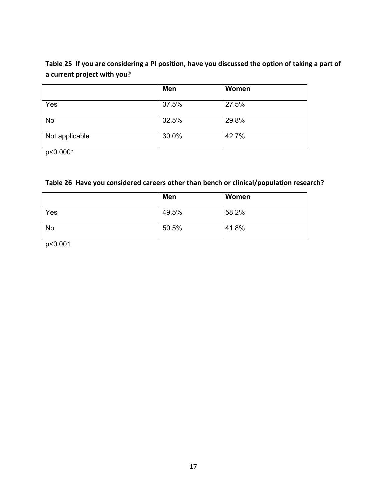## <span id="page-23-0"></span>Table 25 If you are considering a PI position, have you discussed the option of taking a part of **a current project with you?**

|                | Men   | Women |
|----------------|-------|-------|
| Yes            | 37.5% | 27.5% |
| <b>No</b>      | 32.5% | 29.8% |
| Not applicable | 30.0% | 42.7% |

p<0.0001

## **Table 26Have you considered careers other than bench or clinical/population research?**

|           | Men   | Women |
|-----------|-------|-------|
| Yes       | 49.5% | 58.2% |
| <b>No</b> | 50.5% | 41.8% |

p<0.001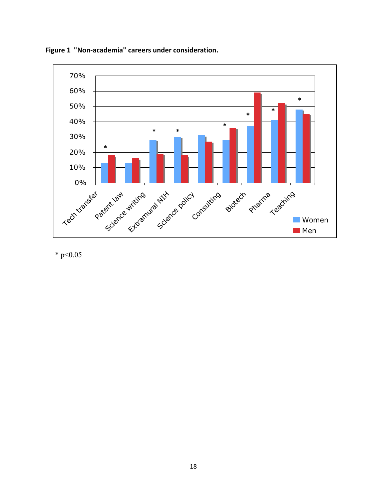

<span id="page-24-0"></span>**Figure 1 "Non-academia" careers under consideration.** 

 $*$  p<0.05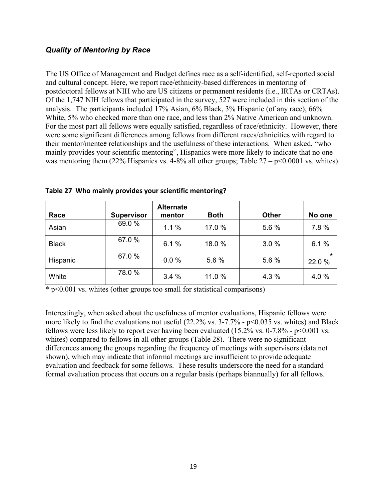## <span id="page-25-0"></span>*Quality of Mentoring by Race*

The US Office of Management and Budget defines race as a self-identified, self-reported social and cultural concept. Here, we report race/ethnicity-based differences in mentoring of postdoctoral fellows at NIH who are US citizens or permanent residents (i.e., IRTAs or CRTAs). Of the 1,747 NIH fellows that participated in the survey, 527 were included in this section of the analysis. The participants included 17% Asian, 6% Black, 3% Hispanic (of any race), 66% White, 5% who checked more than one race, and less than 2% Native American and unknown. For the most part all fellows were equally satisfied, regardless of race/ethnicity. However, there were some significant differences among fellows from different races/ethnicities with regard to their mentor/mentee relationships and the usefulness of these interactions. When asked, "who mainly provides your scientific mentoring", Hispanics were more likely to indicate that no one was mentoring them (22% Hispanics vs. 4-8% all other groups; Table  $27 - p \le 0.0001$  vs. whites).

| Race         | <b>Supervisor</b> | <b>Alternate</b><br>mentor | <b>Both</b> | Other | No one            |
|--------------|-------------------|----------------------------|-------------|-------|-------------------|
| Asian        | 69.0%             | 1.1%                       | 17.0 %      | 5.6 % | 7.8%              |
| <b>Black</b> | 67.0 %            | 6.1%                       | 18.0%       | 3.0%  | 6.1%              |
| Hispanic     | 67.0 %            | 0.0%                       | 5.6 %       | 5.6 % | $\star$<br>22.0 % |
| White        | 78.0%             | 3.4%                       | 11.0 %      | 4.3 % | 4.0%              |

**Table 27Who mainly provides your scientific mentoring?**

 $*$  p<0.001 vs. whites (other groups too small for statistical comparisons)

Interestingly, when asked about the usefulness of mentor evaluations, Hispanic fellows were more likely to find the evaluations not useful (22.2% vs. 3-7.7% - p<0.035 vs. whites) and Black fellows were less likely to report ever having been evaluated  $(15.2\% \text{ vs. } 0.7.8\% \cdot \text{p} < 0.001 \text{ vs. } 0.001 \text{ vs. } 0.001 \text{ vs. } 0.001 \text{ vs. } 0.001 \text{ vs. } 0.001 \text{ vs. } 0.001 \text{ vs. } 0.001 \text{ vs. } 0.001 \text{ vs. } 0.001 \text{ vs. } 0.001 \$ whites) compared to fellows in all other groups (Table 28). There were no significant differences among the groups regarding the frequency of meetings with supervisors (data not shown), which may indicate that informal meetings are insufficient to provide adequate evaluation and feedback for some fellows. These results underscore the need for a standard formal evaluation process that occurs on a regular basis (perhaps biannually) for all fellows.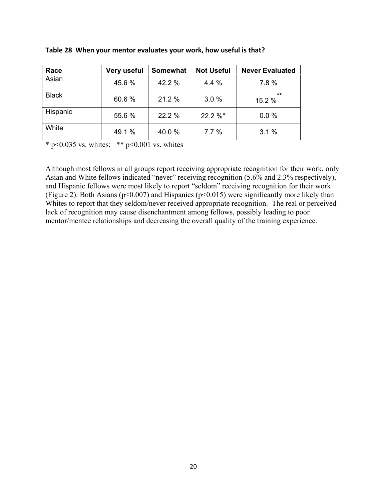| Race         | Very useful | Somewhat | <b>Not Useful</b> | <b>Never Evaluated</b> |
|--------------|-------------|----------|-------------------|------------------------|
| Asian        | 45.6%       | 42.2 %   | 4.4 %             | 7.8%                   |
| <b>Black</b> | 60.6%       | 21.2 %   | 3.0%              | **<br>15.2 %           |
| Hispanic     | 55.6%       | 22.2 %   | $22.2 \%$         | 0.0%                   |
| White        | 49.1 %      | 40.0 %   | 7.7%              | 3.1%                   |

<span id="page-26-0"></span>**Table 28When your mentor evaluates your work, how useful is that?**

\* p<0.035 vs. whites; \*\* p<0.001 vs. whites

Although most fellows in all groups report receiving appropriate recognition for their work, only Asian and White fellows indicated "never" receiving recognition (5.6% and 2.3% respectively), and Hispanic fellows were most likely to report "seldom" receiving recognition for their work (Figure 2). Both Asians ( $p<0.007$ ) and Hispanics ( $p<0.015$ ) were significantly more likely than Whites to report that they seldom/never received appropriate recognition. The real or perceived lack of recognition may cause disenchantment among fellows, possibly leading to poor mentor/mentee relationships and decreasing the overall quality of the training experience.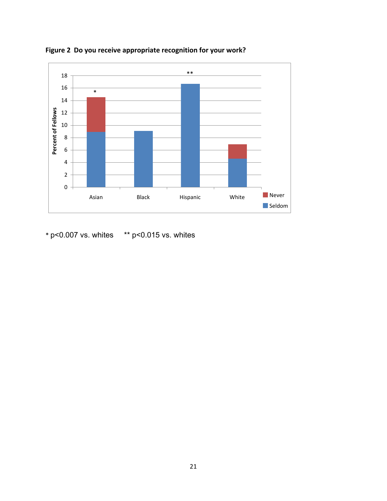

<span id="page-27-0"></span>**Figure 2Do you receive appropriate recognition for your work?**

 $*$  p<0.007 vs. whites  $*$   $*$  p<0.015 vs. whites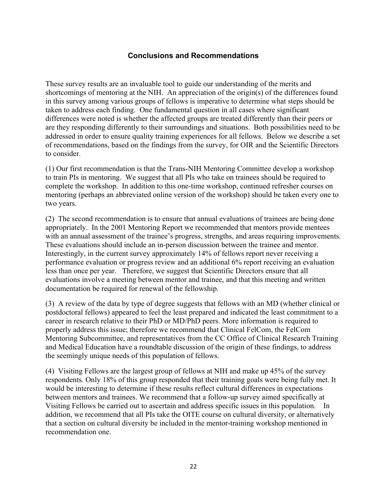### **Conclusions and Recommendations**

These survey results are an invaluable tool to guide our understanding of the merits and shortcomings of mentoring at the NIH. An appreciation of the origin(s) of the differences found in this survey among various groups of fellows is imperative to determine what steps should be taken to address each finding. One fundamental question in all cases where significant differences were noted is whether the affected groups are treated differently than their peers or are they responding differently to their surroundings and situations. Both possibilities need to be addressed in order to ensure quality training experiences for all fellows. Below we describe a set of recommendations, based on the findings from the survey, for OIR and the Scientific Directors to consider.

(1) Our first recommendation is that the Trans-NIH Mentoring Committee develop a workshop to train PIs in mentoring. We suggest that all PIs who take on trainees should be required to complete the workshop. In addition to this one-time workshop, continued refresher courses on mentoring (perhaps an abbreviated online version of the workshop) should be taken every one to two years.

(2) The second recommendation is to ensure that annual evaluations of trainees are being done appropriately. In the 2001 Mentoring Report we recommended that mentors provide mentees with an annual assessment of the trainee's progress, strengths, and areas requiring improvements. These evaluations should include an in-person discussion between the trainee and mentor. Interestingly, in the current survey approximately 14% of fellows report never receiving a performance evaluation or progress review and an additional 6% report receiving an evaluation less than once per year. Therefore, we suggest that Scientific Directors ensure that all evaluations involve a meeting between mentor and trainee, and that this meeting and written documentation be required for renewal of the fellowship.

(3) A review of the data by type of degree suggests that fellows with an MD (whether clinical or postdoctoral fellows) appeared to feel the least prepared and indicated the least commitment to a career in research relative to their PhD or MD/PhD peers. More information is required to properly address this issue; therefore we recommend that Clinical FelCom, the FelCom Mentoring Subcommittee, and representatives from the CC Office of Clinical Research Training and Medical Education have a roundtable discussion of the origin of these findings, to address the seemingly unique needs of this population of fellows.

(4) Visiting Fellows are the largest group of fellows at NIH and make up 45% of the survey respondents. Only 18% of this group responded that their training goals were being fully met. It would be interesting to determine if these results reflect cultural differences in expectations between mentors and trainees. We recommend that a follow-up survey aimed specifically at Visiting Fellows be carried out to ascertain and address specific issues in this population. In addition, we recommend that all PIs take the OITE course on cultural diversity, or alternatively that a section on cultural diversity be included in the mentor-training workshop mentioned in recommendation one.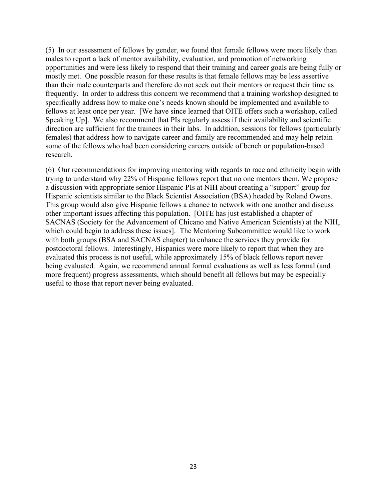(5) In our assessment of fellows by gender, we found that female fellows were more likely than males to report a lack of mentor availability, evaluation, and promotion of networking opportunities and were less likely to respond that their training and career goals are being fully or mostly met. One possible reason for these results is that female fellows may be less assertive than their male counterparts and therefore do not seek out their mentors or request their time as frequently. In order to address this concern we recommend that a training workshop designed to specifically address how to make one's needs known should be implemented and available to fellows at least once per year. [We have since learned that OITE offers such a workshop, called Speaking Up]. We also recommend that PIs regularly assess if their availability and scientific direction are sufficient for the trainees in their labs. In addition, sessions for fellows (particularly females) that address how to navigate career and family are recommended and may help retain some of the fellows who had been considering careers outside of bench or population-based research.

(6) Our recommendations for improving mentoring with regards to race and ethnicity begin with trying to understand why 22% of Hispanic fellows report that no one mentors them. We propose a discussion with appropriate senior Hispanic PIs at NIH about creating a "support" group for Hispanic scientists similar to the Black Scientist Association (BSA) headed by Roland Owens. This group would also give Hispanic fellows a chance to network with one another and discuss other important issues affecting this population. [OITE has just established a chapter of SACNAS (Society for the Advancement of Chicano and Native American Scientists) at the NIH, which could begin to address these issues]. The Mentoring Subcommittee would like to work with both groups (BSA and SACNAS chapter) to enhance the services they provide for postdoctoral fellows. Interestingly, Hispanics were more likely to report that when they are evaluated this process is not useful, while approximately 15% of black fellows report never being evaluated. Again, we recommend annual formal evaluations as well as less formal (and more frequent) progress assessments, which should benefit all fellows but may be especially useful to those that report never being evaluated.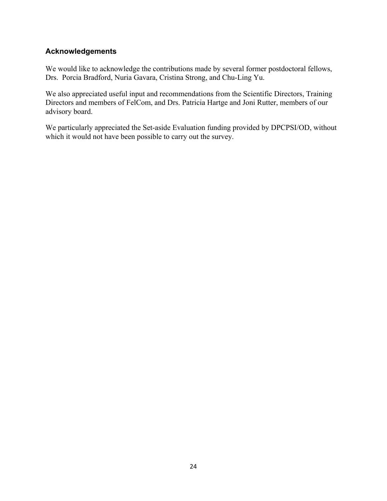## **Acknowledgements**

We would like to acknowledge the contributions made by several former postdoctoral fellows, Drs. Porcia Bradford, Nuria Gavara, Cristina Strong, and Chu-Ling Yu.

We also appreciated useful input and recommendations from the Scientific Directors, Training Directors and members of FelCom, and Drs. Patricia Hartge and Joni Rutter, members of our advisory board.

We particularly appreciated the Set-aside Evaluation funding provided by DPCPSI/OD, without which it would not have been possible to carry out the survey.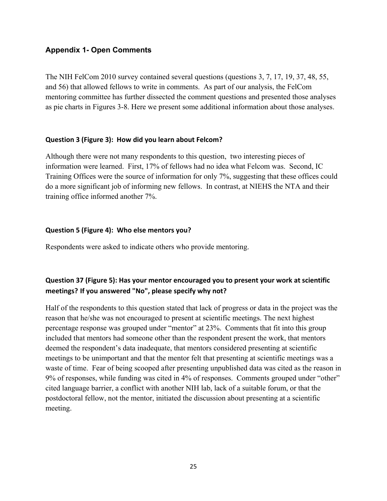## **Appendix 1- Open Comments**

The NIH FelCom 2010 survey contained several questions (questions 3, 7, 17, 19, 37, 48, 55, and 56) that allowed fellows to write in comments. As part of our analysis, the FelCom mentoring committee has further dissected the comment questions and presented those analyses as pie charts in Figures 3-8. Here we present some additional information about those analyses.

### **Question 3 (Figure 3):How did you learn about Felcom?**

Although there were not many respondents to this question, two interesting pieces of information were learned. First, 17% of fellows had no idea what Felcom was. Second, IC Training Offices were the source of information for only 7%, suggesting that these offices could do a more significant job of informing new fellows. In contrast, at NIEHS the NTA and their training office informed another 7%.

### **Question 5 (Figure 4):Who else mentors you?**

Respondents were asked to indicate others who provide mentoring.

## **Question 37 (Figure 5): Has your mentor encouraged you to present your work at scientific meetings? If you answered "No", please specify why not?**

Half of the respondents to this question stated that lack of progress or data in the project was the reason that he/she was not encouraged to present at scientific meetings. The next highest percentage response was grouped under "mentor" at 23%. Comments that fit into this group included that mentors had someone other than the respondent present the work, that mentors deemed the respondent's data inadequate, that mentors considered presenting at scientific meetings to be unimportant and that the mentor felt that presenting at scientific meetings was a waste of time. Fear of being scooped after presenting unpublished data was cited as the reason in 9% of responses, while funding was cited in 4% of responses. Comments grouped under "other" cited language barrier, a conflict with another NIH lab, lack of a suitable forum, or that the postdoctoral fellow, not the mentor, initiated the discussion about presenting at a scientific meeting.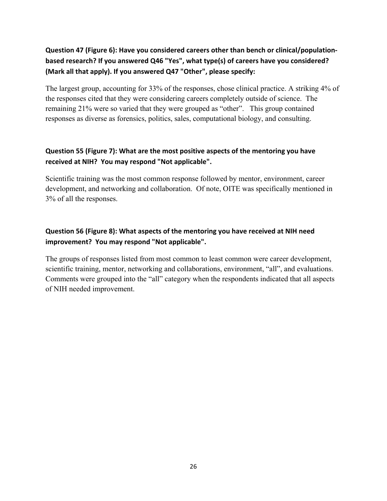## **Question 47 (Figure 6): Have you considered careers other than bench or clinical/populationͲ based research? If you answered Q46 "Yes", what type(s) of careers have you considered? (Mark all that apply). If you answered Q47 "Other", please specify:**

The largest group, accounting for 33% of the responses, chose clinical practice. A striking 4% of the responses cited that they were considering careers completely outside of science. The remaining 21% were so varied that they were grouped as "other". This group contained responses as diverse as forensics, politics, sales, computational biology, and consulting.

## **Question 55 (Figure 7): What are the most positive aspects of the mentoring you have received at NIH?You may respond "Not applicable".**

Scientific training was the most common response followed by mentor, environment, career development, and networking and collaboration. Of note, OITE was specifically mentioned in 3% of all the responses.

## **Question 56 (Figure 8): What aspects of the mentoring you have received at NIH need improvement?You may respond "Not applicable".**

The groups of responses listed from most common to least common were career development, scientific training, mentor, networking and collaborations, environment, "all", and evaluations. Comments were grouped into the "all" category when the respondents indicated that all aspects of NIH needed improvement.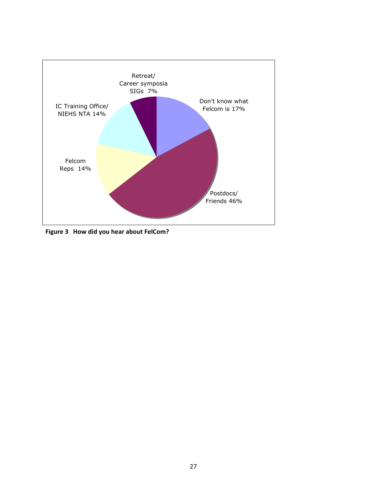<span id="page-33-0"></span>

**Figure 3How did you hear about FelCom?**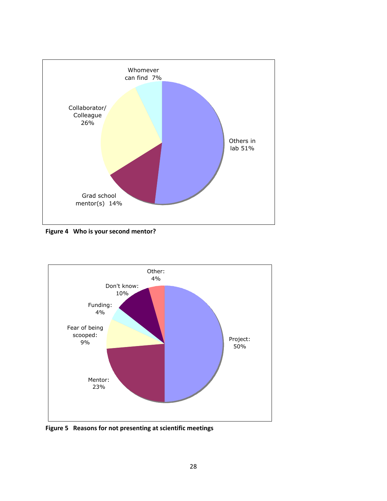<span id="page-34-0"></span>

**Figure 4Who is your second mentor?**



**Figure 5Reasons for not presenting at scientific meetings**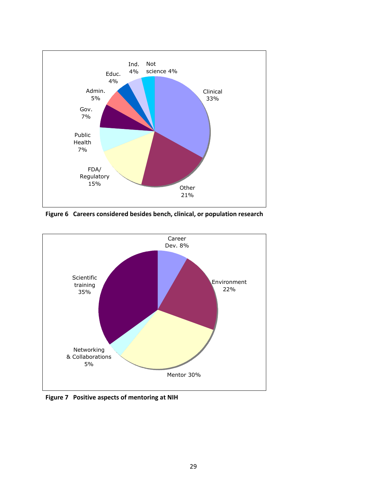<span id="page-35-0"></span>

**Figure 6Careers considered besides bench, clinical, or population research**



**Figure 7Positive aspects of mentoring at NIH**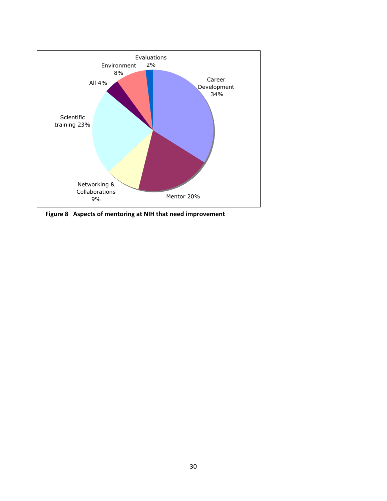<span id="page-36-0"></span>

**Figure 8Aspects of mentoring at NIH that need improvement**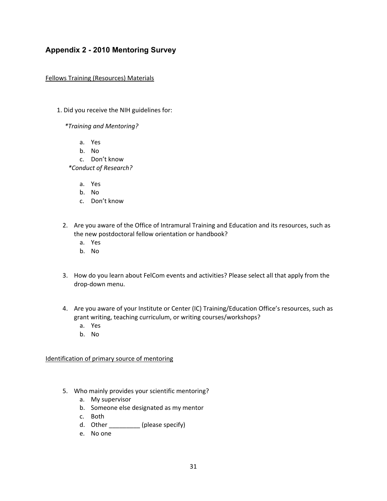## **Appendix 2 - 2010 Mentoring Survey**

#### Fellows Training (Resources) Materials

1. Did you receive the NIH guidelines for:

*\*Training and Mentoring?*

- a. Yes
- b. No
- c. Don't know

*\*Conduct of Research?*

- a. Yes
- b. No
- c. Don't know
- 2. Are you aware of the Office of Intramural Training and Education and its resources, such as the new postdoctoral fellow orientation or handbook?
	- a. Yes
	- b. No
- 3. How do you learn about FelCom events and activities? Please select all that apply from the drop-down menu.
- 4. Are you aware of your Institute or Center (IC) Training/Education Office's resources, such as grant writing, teaching curriculum, or writing courses/workshops?
	- a. Yes
	- b. No

Identification of primary source of mentoring

- 5. Who mainly provides your scientific mentoring?
	- a. My supervisor
	- b. Someone else designated as my mentor
	- c. Both
	- d. Other \_\_\_\_\_\_\_\_\_\_ (please specify)
	- e. No one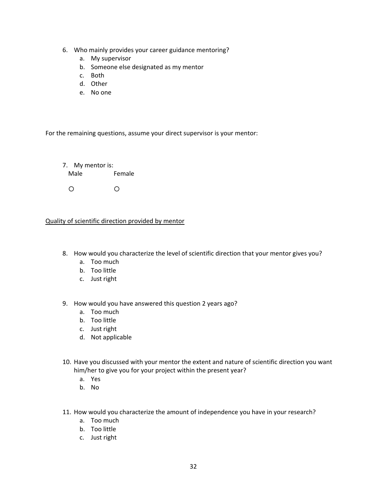- 6. Who mainly provides your career guidance mentoring?
	- a. My supervisor
	- b. Someone else designated as my mentor
	- c. Both
	- d. Other
	- e. No one

For the remaining questions, assume your direct supervisor is your mentor:

7. My mentor is: Male Female  ${\circ}$   ${\circ}$ 

Quality of scientific direction provided by mentor

- 8. How would you characterize the level of scientific direction that your mentor gives you?
	- a. Too much
	- b. Too little
	- c. Just right
- 9. How would you have answered this question 2 years ago?
	- a. Too much
	- b. Too little
	- c. Just right
	- d. Not applicable
- 10. Have you discussed with your mentor the extent and nature of scientific direction you want him/her to give you for your project within the present year?
	- a. Yes
	- b. No
- 11. How would you characterize the amount of independence you have in your research?
	- a. Too much
	- b. Too little
	- c. Just right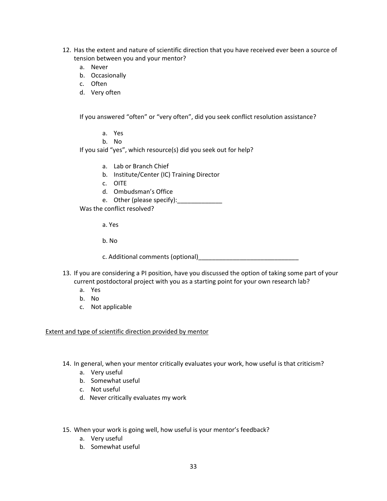- 12. Has the extent and nature of scientific direction that you have received ever been a source of tension between you and your mentor?
	- a. Never
	- b. Occasionally
	- c. Often
	- d. Very often

If you answered "often" or "very often", did you seek conflict resolution assistance?

- a. Yes
- b. No

If you said "yes", which resource(s) did you seek out for help?

- a. Lab or Branch Chief
- b. Institute/Center (IC) Training Director
- c. OITE
- d. Ombudsman's Office
- e. Other (please specify):\_\_\_\_\_\_\_\_\_\_\_\_\_

Was the conflict resolved?

a. Yes

b. No

c. Additional comments (optional)

- 13. If you are considering a PI position, have you discussed the option of taking some part of your current postdoctoral project with you as a starting point for your own research lab?
	- a. Yes
	- b. No
	- c. Not applicable

Extent and type of scientific direction provided by mentor

14. In general, when your mentor critically evaluates your work, how useful is that criticism?

- a. Very useful
- b. Somewhat useful
- c. Not useful
- d. Never critically evaluates my work
- 15. When your work is going well, how useful is your mentor's feedback?
	- a. Very useful
	- b. Somewhat useful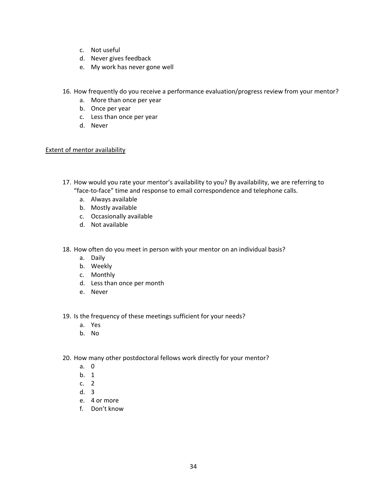- c. Not useful
- d. Never gives feedback
- e. My work has never gone well
- 16. How frequently do you receive a performance evaluation/progress review from your mentor?
	- a. More than once per year
	- b. Once per year
	- c. Less than once per year
	- d. Never

### Extent of mentor availability

17. How would you rate your mentor's availability to you? By availability, we are referring to "face-to-face" time and response to email correspondence and telephone calls.

- a. Always available
- b. Mostly available
- c. Occasionally available
- d. Not available

18. How often do you meet in person with your mentor on an individual basis?

- a. Daily
- b. Weekly
- c. Monthly
- d. Less than once per month
- e. Never

19. Is the frequency of these meetings sufficient for your needs?

- a. Yes
- b. No

20. How many other postdoctoral fellows work directly for your mentor?

- a. 0
- b. 1
- c. 2
- d. 3
- e. 4 or more
- f. Don't know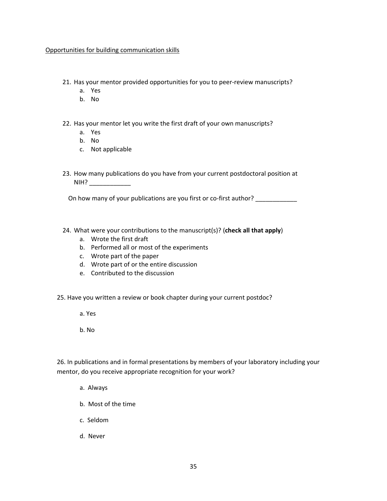#### Opportunities for building communication skills

21. Has your mentor provided opportunities for you to peer-review manuscripts?

- a. Yes
- b. No

22. Has your mentor let you write the first draft of your own manuscripts?

- a. Yes
- b. No
- c. Not applicable
- 23. How many publications do you have from your current postdoctoral position at NIH? \_\_\_\_\_\_\_\_\_\_\_\_

On how many of your publications are you first or co-first author?

#### 24. What were your contributions to the manuscript(s)? (**check all that apply**)

- a. Wrote the first draft
- b. Performed all or most of the experiments
- c. Wrote part of the paper
- d. Wrote part of or the entire discussion
- e. Contributed to the discussion

25. Have you written a review or book chapter during your current postdoc?

- a. Yes
- b. No

26. In publications and in formal presentations by members of your laboratory including your mentor, do you receive appropriate recognition for your work?

- a. Always
- b.Most of the time
- c. Seldom
- d. Never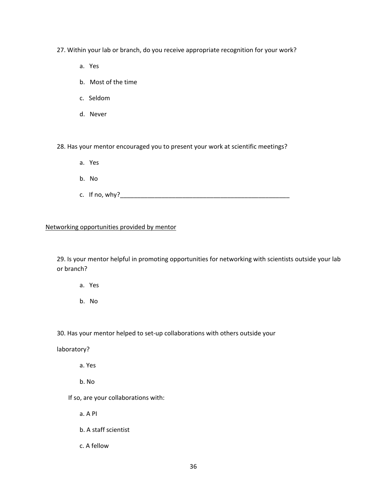27. Within your lab or branch, do you receive appropriate recognition for your work?

a.Yes

- b.Most of the time
- c. Seldom
- d. Never

28. Has your mentor encouraged you to present your work at scientific meetings?

- a.Yes
- b.No
- c. If no, why?  $\blacksquare$

#### Networking opportunities provided by mentor

29. Is your mentor helpful in promoting opportunities for networking with scientists outside your lab or branch?

- a.Yes
- b.No

30. Has your mentor helped to set-up collaborations with others outside your

laboratory?

a. Yes

b. No

If so, are your collaborations with:

a. A PI

b. A staff scientist

c. A fellow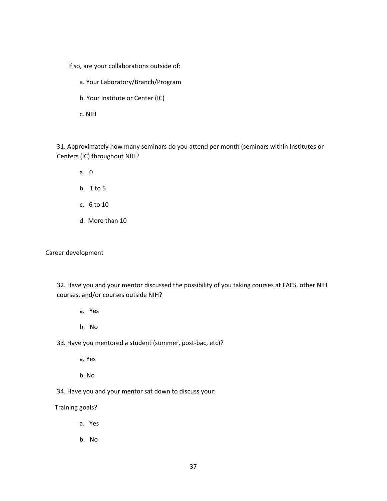If so, are your collaborations outside of:

- a. Your Laboratory/Branch/Program
- b. Your Institute or Center (IC)

c. NIH

31. Approximately how many seminars do you attend per month (seminars within Institutes or Centers (IC) throughout NIH?

- a.0
- b.1 to 5
- c.6 to 10
- d. More than 10

#### Career development

32. Have you and your mentor discussed the possibility of you taking courses at FAES, other NIH courses, and/or courses outside NIH?

- a.Yes
- b.No
- 33. Have you mentored a student (summer, post-bac, etc)?
	- a. Yes
	- b. No
- 34. Have you and your mentor sat down to discuss your:

Training goals?

- a.Yes
- b.No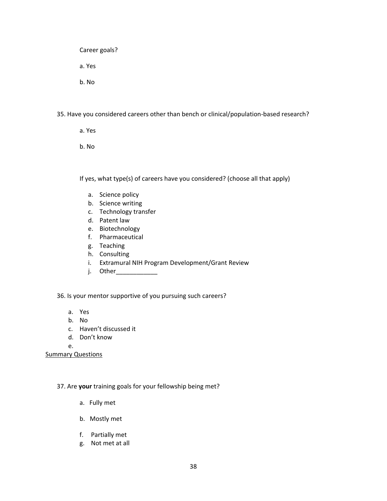Career goals? a. Yes b. No

35. Have you considered careers other than bench or clinical/population-based research?

- a. Yes
- b. No

If yes, what type(s) of careers have you considered? (choose all that apply)

- a. Science policy
- b. Science writing
- c. Technology transfer
- d. Patent law
- e. Biotechnology
- f. Pharmaceutical
- g. Teaching
- h. Consulting
- i. Extramural NIH Program Development/Grant Review
- j. Other\_\_\_\_\_\_\_\_\_\_\_\_

36. Is your mentor supportive of you pursuing such careers?

- a. Yes
- b. No
- c. Haven't discussed it
- d. Don't know

e.

**Summary Questions** 

37. Are **your** training goals for your fellowship being met?

- a. Fully met
- b. Mostly met
- f. Partially met
- g. Not met at all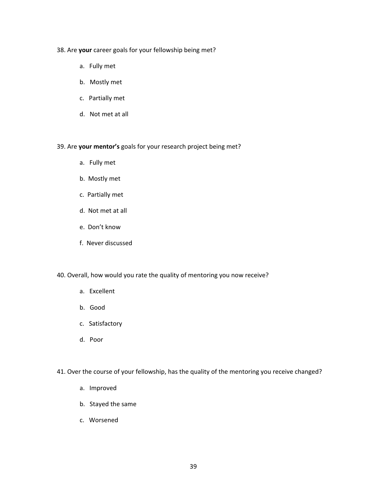#### 38. Are **your** career goals for your fellowship being met?

- a. Fully met
- b. Mostly met
- c. Partially met
- d. Not met at all

#### 39. Are your mentor's goals for your research project being met?

- a. Fully met
- b. Mostly met
- c. Partially met
- d. Not met at all
- e. Don't know
- f. Never discussed

#### 40. Overall, how would you rate the quality of mentoring you now receive?

- a. Excellent
- b. Good
- c. Satisfactory
- d. Poor
- 41. Over the course of your fellowship, has the quality of the mentoring you receive changed?
	- a. Improved
	- b. Stayed the same
	- c.Worsened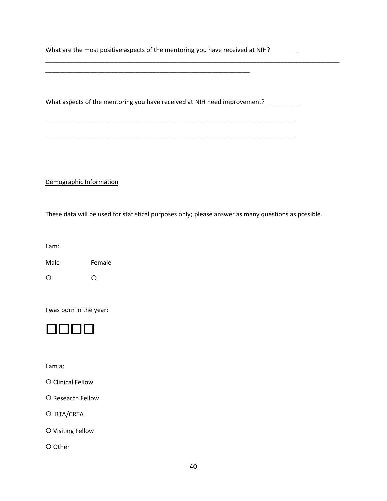What are the most positive aspects of the mentoring you have received at NIH?\_\_\_\_\_\_\_

\_\_\_\_\_\_\_\_\_\_\_\_\_\_\_\_\_\_\_\_\_\_\_\_\_\_\_\_\_\_\_\_\_\_\_\_\_\_\_\_\_\_\_\_\_\_\_\_\_\_\_\_\_\_\_\_\_\_\_

\_\_\_\_\_\_\_\_\_\_\_\_\_\_\_\_\_\_\_\_\_\_\_\_\_\_\_\_\_\_\_\_\_\_\_\_\_\_\_\_\_\_\_\_\_\_\_\_\_\_\_\_\_\_\_\_\_\_\_\_\_\_\_\_\_\_\_\_\_\_\_\_\_\_\_\_\_\_\_\_\_\_\_\_\_

\_\_\_\_\_\_\_\_\_\_\_\_\_\_\_\_\_\_\_\_\_\_\_\_\_\_\_\_\_\_\_\_\_\_\_\_\_\_\_\_\_\_\_\_\_\_\_\_\_\_\_\_\_\_\_\_\_\_\_\_\_\_\_\_\_\_\_\_\_\_\_\_

What aspects of the mentoring you have received at NIH need improvement?\_\_\_\_\_\_\_\_

\_\_\_\_\_\_\_\_\_\_\_\_\_\_\_\_\_\_\_\_\_\_\_\_\_\_\_\_\_\_\_\_\_\_\_\_\_\_\_\_\_\_\_\_\_\_\_\_\_\_\_\_\_\_\_\_\_\_\_\_\_\_\_\_\_\_\_\_\_\_\_\_

Demographic Information

These data will be used for statistical purposes only; please answer as many questions as possible.

I am:

Male Female

 ${\circ}$   ${\circ}$ 

I was born in the year:



I am a:

{ Clinical Fellow

O Research Fellow

{ IRTA/CRTA

{ Visiting Fellow

{ Other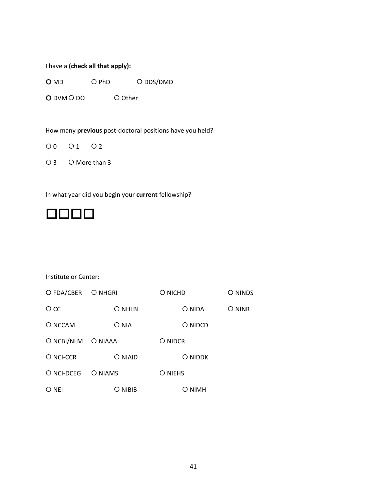I have a **(check all that apply):**

 $O$  MD  $O$  PhD  $O$  DDS/DMD

 $O$  DVM $O$  DO  $O$  Other

How many *previous* post-doctoral positions have you held?

 $00 01 02$ 

 $O$  3  $O$  More than 3

In what year did you begin your **current** fellowship?



Institute or Center:

| O FDA/CBER O NHGRI |         | O NICHD | O NINDS |
|--------------------|---------|---------|---------|
| $\circ$ cc         | O NHLBI | O NIDA  | O NINR  |
| O NCCAM            | O NIA   | O NIDCD |         |
| O NCBI/NLM O NIAAA |         | O NIDCR |         |
| O NCI-CCR          | O NIAID | O NIDDK |         |
| O NCI-DCEG         | O NIAMS | O NIEHS |         |
| O NEI              | O NIBIB | O NIMH  |         |